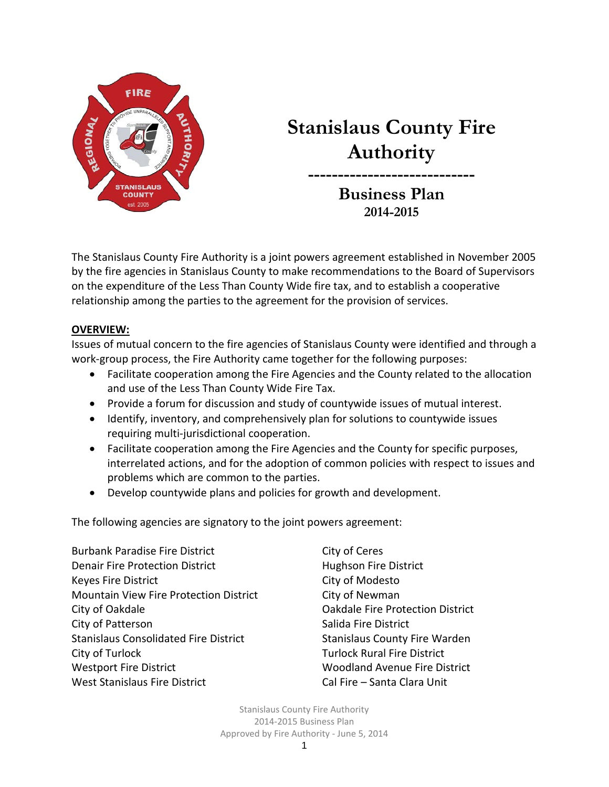

# **Stanislaus County Fire Authority**

**---------------------------- Business Plan 2014-2015**

The Stanislaus County Fire Authority is a joint powers agreement established in November 2005 by the fire agencies in Stanislaus County to make recommendations to the Board of Supervisors on the expenditure of the Less Than County Wide fire tax, and to establish a cooperative relationship among the parties to the agreement for the provision of services.

### **OVERVIEW:**

Issues of mutual concern to the fire agencies of Stanislaus County were identified and through a work-group process, the Fire Authority came together for the following purposes:

- Facilitate cooperation among the Fire Agencies and the County related to the allocation and use of the Less Than County Wide Fire Tax.
- Provide a forum for discussion and study of countywide issues of mutual interest.
- Identify, inventory, and comprehensively plan for solutions to countywide issues requiring multi-jurisdictional cooperation.
- Facilitate cooperation among the Fire Agencies and the County for specific purposes, interrelated actions, and for the adoption of common policies with respect to issues and problems which are common to the parties.
- Develop countywide plans and policies for growth and development.

The following agencies are signatory to the joint powers agreement:

Burbank Paradise Fire District City of Ceres Denair Fire Protection District **Hughson Fire District** Keyes Fire District **City of Modesto** Mountain View Fire Protection District City of Newman City of Oakdale Oakdale Fire Protection District City of Patterson Salida Fire District Stanislaus Consolidated Fire District Stanislaus County Fire Warden City of Turlock Turlock Rural Fire District Westport Fire District Woodland Avenue Fire District West Stanislaus Fire District Cal Fire – Santa Clara Unit

Stanislaus County Fire Authority 2014-2015 Business Plan Approved by Fire Authority - June 5, 2014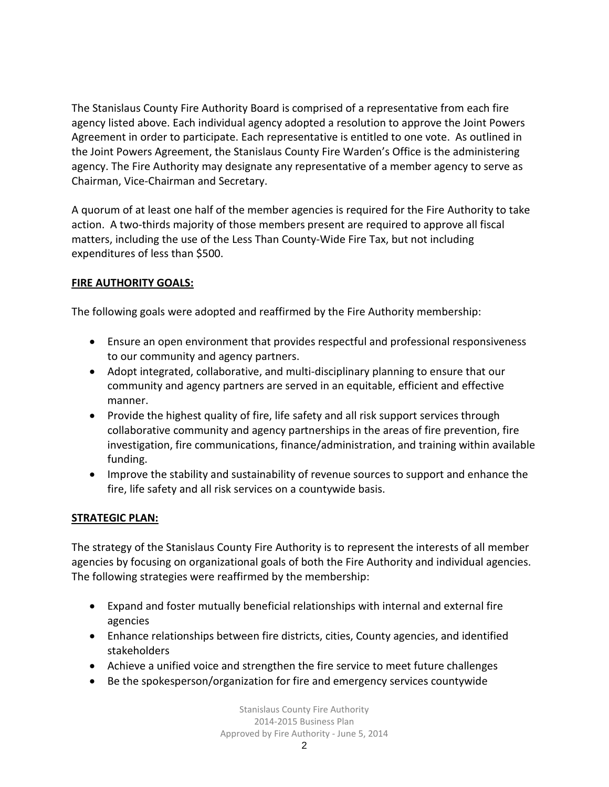The Stanislaus County Fire Authority Board is comprised of a representative from each fire agency listed above. Each individual agency adopted a resolution to approve the Joint Powers Agreement in order to participate. Each representative is entitled to one vote. As outlined in the Joint Powers Agreement, the Stanislaus County Fire Warden's Office is the administering agency. The Fire Authority may designate any representative of a member agency to serve as Chairman, Vice-Chairman and Secretary.

A quorum of at least one half of the member agencies is required for the Fire Authority to take action. A two-thirds majority of those members present are required to approve all fiscal matters, including the use of the Less Than County-Wide Fire Tax, but not including expenditures of less than \$500.

# **FIRE AUTHORITY GOALS:**

The following goals were adopted and reaffirmed by the Fire Authority membership:

- Ensure an open environment that provides respectful and professional responsiveness to our community and agency partners.
- Adopt integrated, collaborative, and multi-disciplinary planning to ensure that our community and agency partners are served in an equitable, efficient and effective manner.
- Provide the highest quality of fire, life safety and all risk support services through collaborative community and agency partnerships in the areas of fire prevention, fire investigation, fire communications, finance/administration, and training within available funding.
- Improve the stability and sustainability of revenue sources to support and enhance the fire, life safety and all risk services on a countywide basis.

# **STRATEGIC PLAN:**

The strategy of the Stanislaus County Fire Authority is to represent the interests of all member agencies by focusing on organizational goals of both the Fire Authority and individual agencies. The following strategies were reaffirmed by the membership:

- Expand and foster mutually beneficial relationships with internal and external fire agencies
- Enhance relationships between fire districts, cities, County agencies, and identified stakeholders
- Achieve a unified voice and strengthen the fire service to meet future challenges
- Be the spokesperson/organization for fire and emergency services countywide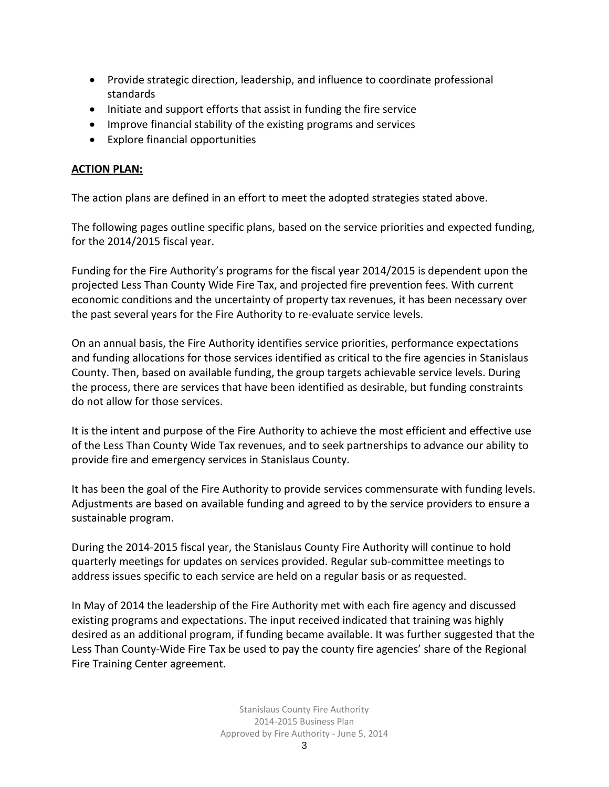- Provide strategic direction, leadership, and influence to coordinate professional standards
- Initiate and support efforts that assist in funding the fire service
- Improve financial stability of the existing programs and services
- Explore financial opportunities

# **ACTION PLAN:**

The action plans are defined in an effort to meet the adopted strategies stated above.

The following pages outline specific plans, based on the service priorities and expected funding, for the 2014/2015 fiscal year.

Funding for the Fire Authority's programs for the fiscal year 2014/2015 is dependent upon the projected Less Than County Wide Fire Tax, and projected fire prevention fees. With current economic conditions and the uncertainty of property tax revenues, it has been necessary over the past several years for the Fire Authority to re-evaluate service levels.

On an annual basis, the Fire Authority identifies service priorities, performance expectations and funding allocations for those services identified as critical to the fire agencies in Stanislaus County. Then, based on available funding, the group targets achievable service levels. During the process, there are services that have been identified as desirable, but funding constraints do not allow for those services.

It is the intent and purpose of the Fire Authority to achieve the most efficient and effective use of the Less Than County Wide Tax revenues, and to seek partnerships to advance our ability to provide fire and emergency services in Stanislaus County.

It has been the goal of the Fire Authority to provide services commensurate with funding levels. Adjustments are based on available funding and agreed to by the service providers to ensure a sustainable program.

During the 2014-2015 fiscal year, the Stanislaus County Fire Authority will continue to hold quarterly meetings for updates on services provided. Regular sub-committee meetings to address issues specific to each service are held on a regular basis or as requested.

In May of 2014 the leadership of the Fire Authority met with each fire agency and discussed existing programs and expectations. The input received indicated that training was highly desired as an additional program, if funding became available. It was further suggested that the Less Than County-Wide Fire Tax be used to pay the county fire agencies' share of the Regional Fire Training Center agreement.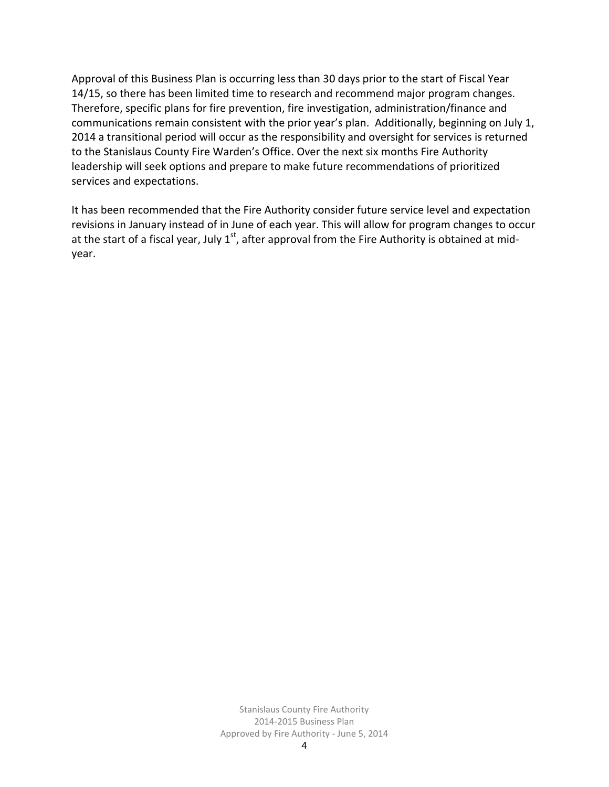Approval of this Business Plan is occurring less than 30 days prior to the start of Fiscal Year 14/15, so there has been limited time to research and recommend major program changes. Therefore, specific plans for fire prevention, fire investigation, administration/finance and communications remain consistent with the prior year's plan. Additionally, beginning on July 1, 2014 a transitional period will occur as the responsibility and oversight for services is returned to the Stanislaus County Fire Warden's Office. Over the next six months Fire Authority leadership will seek options and prepare to make future recommendations of prioritized services and expectations.

It has been recommended that the Fire Authority consider future service level and expectation revisions in January instead of in June of each year. This will allow for program changes to occur at the start of a fiscal year, July  $1<sup>st</sup>$ , after approval from the Fire Authority is obtained at midyear.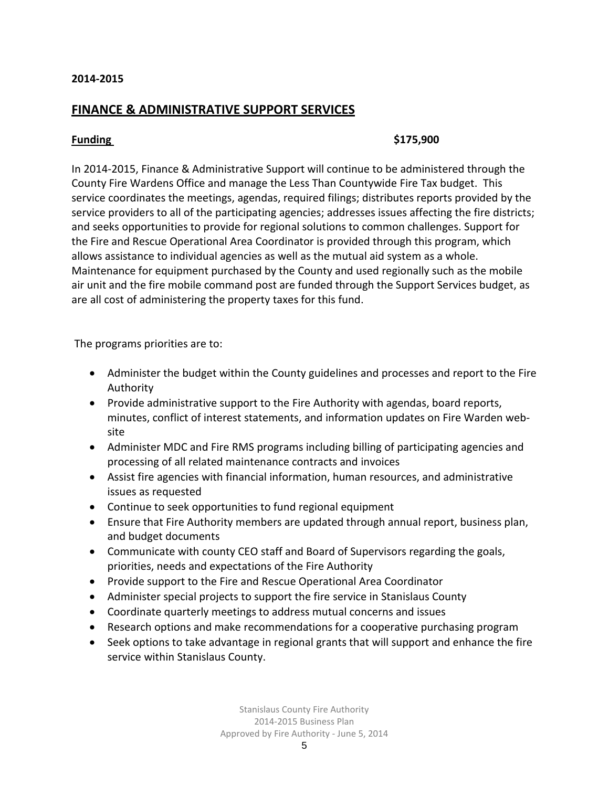# **FINANCE & ADMINISTRATIVE SUPPORT SERVICES**

### **Funding \$175,900**

In 2014-2015, Finance & Administrative Support will continue to be administered through the County Fire Wardens Office and manage the Less Than Countywide Fire Tax budget. This service coordinates the meetings, agendas, required filings; distributes reports provided by the service providers to all of the participating agencies; addresses issues affecting the fire districts; and seeks opportunities to provide for regional solutions to common challenges. Support for the Fire and Rescue Operational Area Coordinator is provided through this program, which allows assistance to individual agencies as well as the mutual aid system as a whole. Maintenance for equipment purchased by the County and used regionally such as the mobile air unit and the fire mobile command post are funded through the Support Services budget, as are all cost of administering the property taxes for this fund.

The programs priorities are to:

- Administer the budget within the County guidelines and processes and report to the Fire Authority
- Provide administrative support to the Fire Authority with agendas, board reports, minutes, conflict of interest statements, and information updates on Fire Warden website
- Administer MDC and Fire RMS programs including billing of participating agencies and processing of all related maintenance contracts and invoices
- Assist fire agencies with financial information, human resources, and administrative issues as requested
- Continue to seek opportunities to fund regional equipment
- Ensure that Fire Authority members are updated through annual report, business plan, and budget documents
- Communicate with county CEO staff and Board of Supervisors regarding the goals, priorities, needs and expectations of the Fire Authority
- Provide support to the Fire and Rescue Operational Area Coordinator
- Administer special projects to support the fire service in Stanislaus County
- Coordinate quarterly meetings to address mutual concerns and issues
- Research options and make recommendations for a cooperative purchasing program
- Seek options to take advantage in regional grants that will support and enhance the fire service within Stanislaus County.

Stanislaus County Fire Authority 2014-2015 Business Plan Approved by Fire Authority - June 5, 2014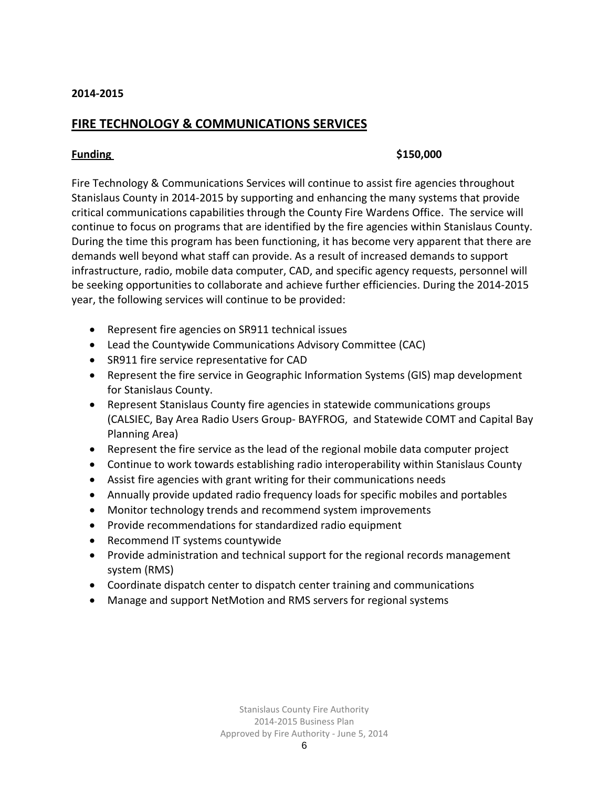# **FIRE TECHNOLOGY & COMMUNICATIONS SERVICES**

### **Funding \$150,000**

Fire Technology & Communications Services will continue to assist fire agencies throughout Stanislaus County in 2014-2015 by supporting and enhancing the many systems that provide critical communications capabilities through the County Fire Wardens Office. The service will continue to focus on programs that are identified by the fire agencies within Stanislaus County. During the time this program has been functioning, it has become very apparent that there are demands well beyond what staff can provide. As a result of increased demands to support infrastructure, radio, mobile data computer, CAD, and specific agency requests, personnel will be seeking opportunities to collaborate and achieve further efficiencies. During the 2014-2015 year, the following services will continue to be provided:

- Represent fire agencies on SR911 technical issues
- Lead the Countywide Communications Advisory Committee (CAC)
- SR911 fire service representative for CAD
- Represent the fire service in Geographic Information Systems (GIS) map development for Stanislaus County.
- Represent Stanislaus County fire agencies in statewide communications groups (CALSIEC, Bay Area Radio Users Group- BAYFROG, and Statewide COMT and Capital Bay Planning Area)
- Represent the fire service as the lead of the regional mobile data computer project
- Continue to work towards establishing radio interoperability within Stanislaus County
- Assist fire agencies with grant writing for their communications needs
- Annually provide updated radio frequency loads for specific mobiles and portables
- Monitor technology trends and recommend system improvements
- Provide recommendations for standardized radio equipment
- Recommend IT systems countywide
- Provide administration and technical support for the regional records management system (RMS)
- Coordinate dispatch center to dispatch center training and communications
- Manage and support NetMotion and RMS servers for regional systems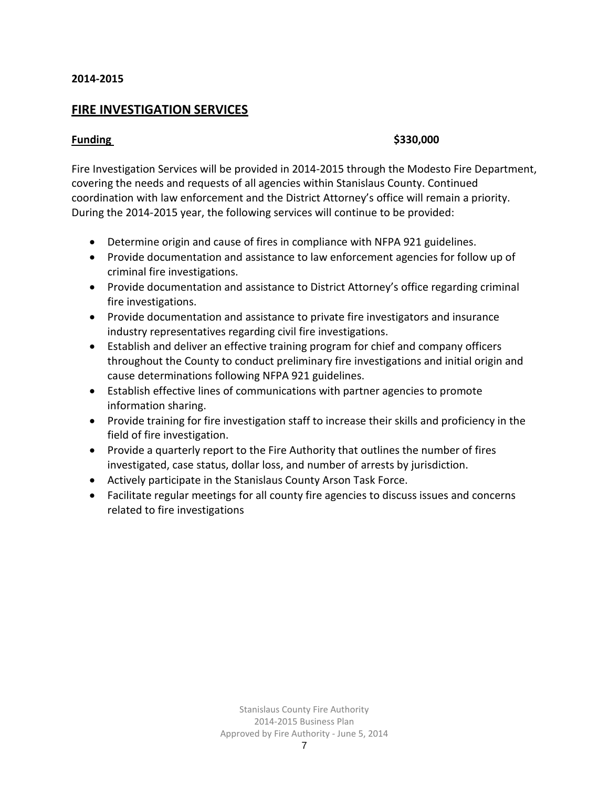# **FIRE INVESTIGATION SERVICES**

### **Funding \$330,000**

Fire Investigation Services will be provided in 2014-2015 through the Modesto Fire Department, covering the needs and requests of all agencies within Stanislaus County. Continued coordination with law enforcement and the District Attorney's office will remain a priority. During the 2014-2015 year, the following services will continue to be provided:

- Determine origin and cause of fires in compliance with NFPA 921 guidelines.
- Provide documentation and assistance to law enforcement agencies for follow up of criminal fire investigations.
- Provide documentation and assistance to District Attorney's office regarding criminal fire investigations.
- Provide documentation and assistance to private fire investigators and insurance industry representatives regarding civil fire investigations.
- Establish and deliver an effective training program for chief and company officers throughout the County to conduct preliminary fire investigations and initial origin and cause determinations following NFPA 921 guidelines.
- Establish effective lines of communications with partner agencies to promote information sharing.
- Provide training for fire investigation staff to increase their skills and proficiency in the field of fire investigation.
- Provide a quarterly report to the Fire Authority that outlines the number of fires investigated, case status, dollar loss, and number of arrests by jurisdiction.
- Actively participate in the Stanislaus County Arson Task Force.
- Facilitate regular meetings for all county fire agencies to discuss issues and concerns related to fire investigations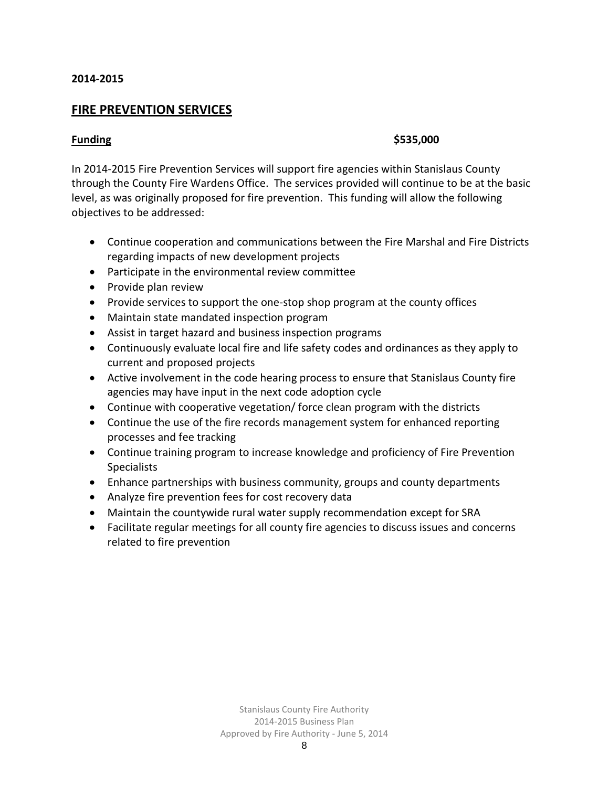# **FIRE PREVENTION SERVICES**

### **Funding \$535,000**

In 2014-2015 Fire Prevention Services will support fire agencies within Stanislaus County through the County Fire Wardens Office. The services provided will continue to be at the basic level, as was originally proposed for fire prevention. This funding will allow the following objectives to be addressed:

- Continue cooperation and communications between the Fire Marshal and Fire Districts regarding impacts of new development projects
- Participate in the environmental review committee
- Provide plan review
- Provide services to support the one-stop shop program at the county offices
- Maintain state mandated inspection program
- Assist in target hazard and business inspection programs
- Continuously evaluate local fire and life safety codes and ordinances as they apply to current and proposed projects
- Active involvement in the code hearing process to ensure that Stanislaus County fire agencies may have input in the next code adoption cycle
- Continue with cooperative vegetation/ force clean program with the districts
- Continue the use of the fire records management system for enhanced reporting processes and fee tracking
- Continue training program to increase knowledge and proficiency of Fire Prevention **Specialists**
- Enhance partnerships with business community, groups and county departments
- Analyze fire prevention fees for cost recovery data
- Maintain the countywide rural water supply recommendation except for SRA
- Facilitate regular meetings for all county fire agencies to discuss issues and concerns related to fire prevention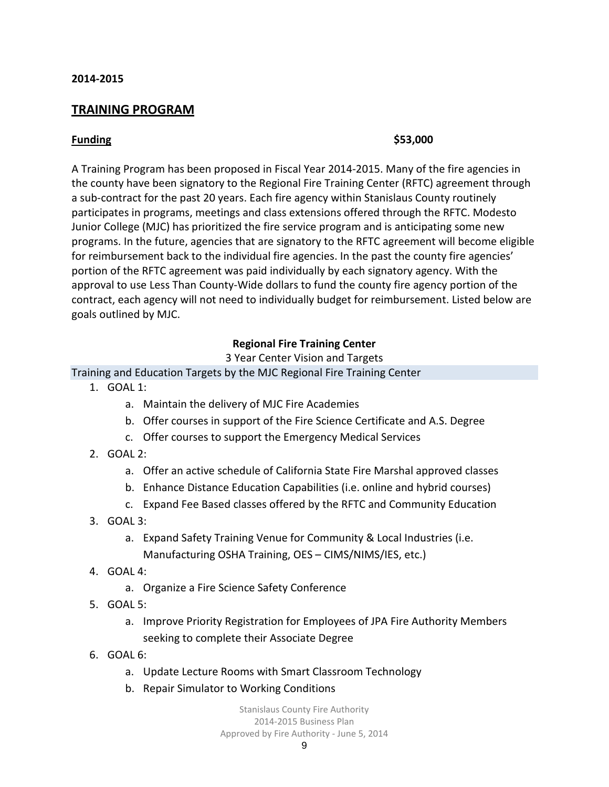# **TRAINING PROGRAM**

### **Funding \$53,000**

A Training Program has been proposed in Fiscal Year 2014-2015. Many of the fire agencies in the county have been signatory to the Regional Fire Training Center (RFTC) agreement through a sub-contract for the past 20 years. Each fire agency within Stanislaus County routinely participates in programs, meetings and class extensions offered through the RFTC. Modesto Junior College (MJC) has prioritized the fire service program and is anticipating some new programs. In the future, agencies that are signatory to the RFTC agreement will become eligible for reimbursement back to the individual fire agencies. In the past the county fire agencies' portion of the RFTC agreement was paid individually by each signatory agency. With the approval to use Less Than County-Wide dollars to fund the county fire agency portion of the contract, each agency will not need to individually budget for reimbursement. Listed below are goals outlined by MJC.

### **Regional Fire Training Center**

3 Year Center Vision and Targets

### Training and Education Targets by the MJC Regional Fire Training Center

- 1. GOAL 1:
	- a. Maintain the delivery of MJC Fire Academies
	- b. Offer courses in support of the Fire Science Certificate and A.S. Degree
	- c. Offer courses to support the Emergency Medical Services
- 2. GOAL 2:
	- a. Offer an active schedule of California State Fire Marshal approved classes
	- b. Enhance Distance Education Capabilities (i.e. online and hybrid courses)
	- c. Expand Fee Based classes offered by the RFTC and Community Education
- 3. GOAL 3:
	- a. Expand Safety Training Venue for Community & Local Industries (i.e. Manufacturing OSHA Training, OES – CIMS/NIMS/IES, etc.)
- 4. GOAL 4:
	- a. Organize a Fire Science Safety Conference
- 5. GOAL 5:
	- a. Improve Priority Registration for Employees of JPA Fire Authority Members seeking to complete their Associate Degree
- 6. GOAL 6:
	- a. Update Lecture Rooms with Smart Classroom Technology
	- b. Repair Simulator to Working Conditions

Stanislaus County Fire Authority 2014-2015 Business Plan Approved by Fire Authority - June 5, 2014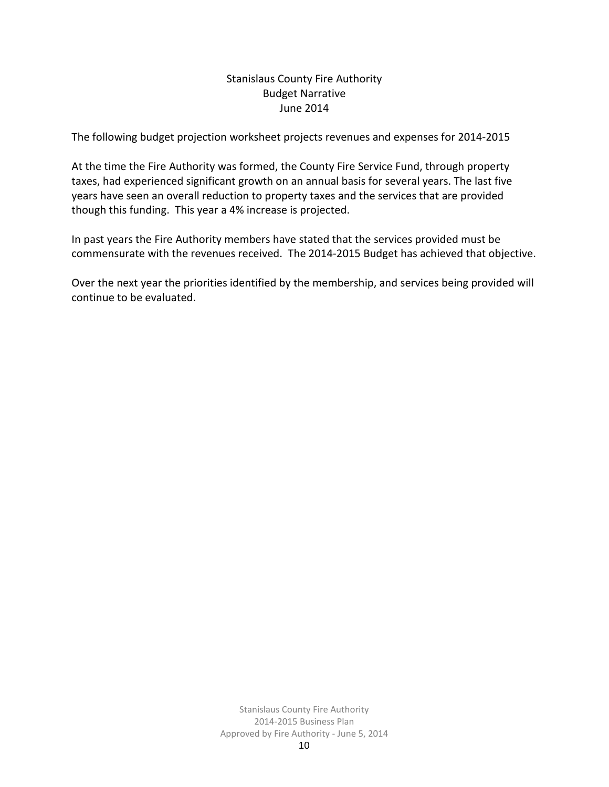# Stanislaus County Fire Authority Budget Narrative June 2014

The following budget projection worksheet projects revenues and expenses for 2014-2015

At the time the Fire Authority was formed, the County Fire Service Fund, through property taxes, had experienced significant growth on an annual basis for several years. The last five years have seen an overall reduction to property taxes and the services that are provided though this funding. This year a 4% increase is projected.

In past years the Fire Authority members have stated that the services provided must be commensurate with the revenues received. The 2014-2015 Budget has achieved that objective.

Over the next year the priorities identified by the membership, and services being provided will continue to be evaluated.